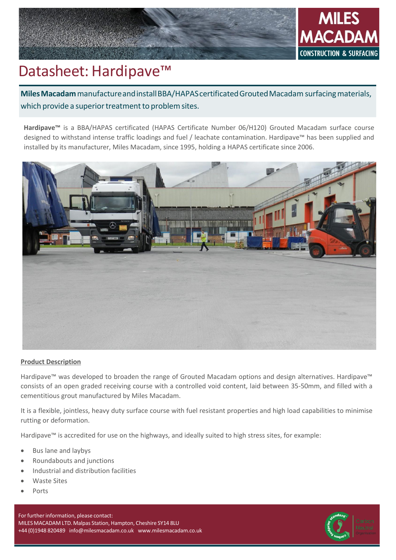

# Datasheet: Hardipave<sup>™</sup>

**MilesMacadam**manufactureandinstallBBA/HAPAScertificatedGroutedMacadam surfacingmaterials, which provide a superior treatment to problem sites.

**Hardipave™** is a BBA/HAPAS certificated (HAPAS Certificate Number 06/H120) Grouted Macadam surface course designed to withstand intense traffic loadings and fuel / leachate contamination. Hardipave™ has been supplied and installed by its manufacturer, Miles Macadam, since 1995, holding a HAPAS certificate since 2006.



### **Product Description**

Hardipave™ was developed to broaden the range of Grouted Macadam options and design alternatives. Hardipave™ consists of an open graded receiving course with a controlled void content, laid between 35-50mm, and filled with a cementitious grout manufactured by Miles Macadam.

It is a flexible, jointless, heavy duty surface course with fuel resistant properties and high load capabilities to minimise rutting or deformation.

Hardipave™ is accredited for use on the highways, and ideally suited to high stress sites, for example:

- Bus lane and laybys
- Roundabouts and junctions
- Industrial and distribution facilities
- Waste Sites
- Ports

For further information, please contact: MILES MACADAM LTD. Malpas Station, Hampton, Cheshire SY14 8LU +44 (0)1948 820489 [info@milesmacadam.co.uk](mailto:info@milesmacadam.co.uk) [www.milesmacadam.co.uk](http://www.milesmacadam.co.uk/)